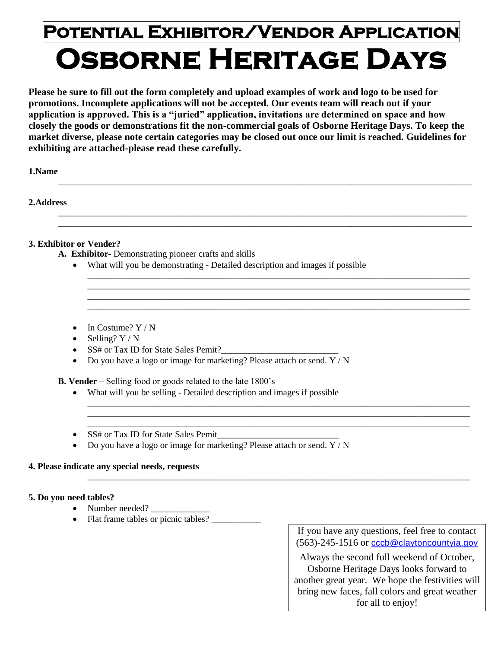# **Potential Exhibitor/Vendor Application Osborne Heritage Days**

**Please be sure to fill out the form completely and upload examples of work and logo to be used for promotions. Incomplete applications will not be accepted. Our events team will reach out if your application is approved. This is a "juried" application, invitations are determined on space and how closely the goods or demonstrations fit the non-commercial goals of Osborne Heritage Days. To keep the market diverse, please note certain categories may be closed out once our limit is reached. Guidelines for exhibiting are attached-please read these carefully.**

\_\_\_\_\_\_\_\_\_\_\_\_\_\_\_\_\_\_\_\_\_\_\_\_\_\_\_\_\_\_\_\_\_\_\_\_\_\_\_\_\_\_\_\_\_\_\_\_\_\_\_\_\_\_\_\_\_\_\_\_\_\_\_\_\_\_\_\_\_\_\_\_\_\_\_\_\_\_\_\_\_\_\_\_\_\_\_\_\_\_\_\_

\_\_\_\_\_\_\_\_\_\_\_\_\_\_\_\_\_\_\_\_\_\_\_\_\_\_\_\_\_\_\_\_\_\_\_\_\_\_\_\_\_\_\_\_\_\_\_\_\_\_\_\_\_\_\_\_\_\_\_\_\_\_\_\_\_\_\_\_\_\_\_\_\_\_\_\_\_\_\_\_\_\_\_\_\_\_\_\_\_\_\_ \_\_\_\_\_\_\_\_\_\_\_\_\_\_\_\_\_\_\_\_\_\_\_\_\_\_\_\_\_\_\_\_\_\_\_\_\_\_\_\_\_\_\_\_\_\_\_\_\_\_\_\_\_\_\_\_\_\_\_\_\_\_\_\_\_\_\_\_\_\_\_\_\_\_\_\_\_\_\_\_\_\_\_\_\_\_\_\_\_\_\_\_

\_\_\_\_\_\_\_\_\_\_\_\_\_\_\_\_\_\_\_\_\_\_\_\_\_\_\_\_\_\_\_\_\_\_\_\_\_\_\_\_\_\_\_\_\_\_\_\_\_\_\_\_\_\_\_\_\_\_\_\_\_\_\_\_\_\_\_\_\_\_\_\_\_\_\_\_\_\_\_\_\_\_\_\_\_ \_\_\_\_\_\_\_\_\_\_\_\_\_\_\_\_\_\_\_\_\_\_\_\_\_\_\_\_\_\_\_\_\_\_\_\_\_\_\_\_\_\_\_\_\_\_\_\_\_\_\_\_\_\_\_\_\_\_\_\_\_\_\_\_\_\_\_\_\_\_\_\_\_\_\_\_\_\_\_\_\_\_\_\_\_ \_\_\_\_\_\_\_\_\_\_\_\_\_\_\_\_\_\_\_\_\_\_\_\_\_\_\_\_\_\_\_\_\_\_\_\_\_\_\_\_\_\_\_\_\_\_\_\_\_\_\_\_\_\_\_\_\_\_\_\_\_\_\_\_\_\_\_\_\_\_\_\_\_\_\_\_\_\_\_\_\_\_\_\_\_ \_\_\_\_\_\_\_\_\_\_\_\_\_\_\_\_\_\_\_\_\_\_\_\_\_\_\_\_\_\_\_\_\_\_\_\_\_\_\_\_\_\_\_\_\_\_\_\_\_\_\_\_\_\_\_\_\_\_\_\_\_\_\_\_\_\_\_\_\_\_\_\_\_\_\_\_\_\_\_\_\_\_\_\_\_

\_\_\_\_\_\_\_\_\_\_\_\_\_\_\_\_\_\_\_\_\_\_\_\_\_\_\_\_\_\_\_\_\_\_\_\_\_\_\_\_\_\_\_\_\_\_\_\_\_\_\_\_\_\_\_\_\_\_\_\_\_\_\_\_\_\_\_\_\_\_\_\_\_\_\_\_\_\_\_\_\_\_\_\_\_ \_\_\_\_\_\_\_\_\_\_\_\_\_\_\_\_\_\_\_\_\_\_\_\_\_\_\_\_\_\_\_\_\_\_\_\_\_\_\_\_\_\_\_\_\_\_\_\_\_\_\_\_\_\_\_\_\_\_\_\_\_\_\_\_\_\_\_\_\_\_\_\_\_\_\_\_\_\_\_\_\_\_\_\_\_ \_\_\_\_\_\_\_\_\_\_\_\_\_\_\_\_\_\_\_\_\_\_\_\_\_\_\_\_\_\_\_\_\_\_\_\_\_\_\_\_\_\_\_\_\_\_\_\_\_\_\_\_\_\_\_\_\_\_\_\_\_\_\_\_\_\_\_\_\_\_\_\_\_\_\_\_\_\_\_\_\_\_\_\_\_

\_\_\_\_\_\_\_\_\_\_\_\_\_\_\_\_\_\_\_\_\_\_\_\_\_\_\_\_\_\_\_\_\_\_\_\_\_\_\_\_\_\_\_\_\_\_\_\_\_\_\_\_\_\_\_\_\_\_\_\_\_\_\_\_\_\_\_\_\_\_\_\_\_\_\_\_\_\_\_\_\_\_\_\_\_

**1.Name**

**2.Address**

### **3. Exhibitor or Vender?**

- **A. Exhibitor-** Demonstrating pioneer crafts and skills
	- What will you be demonstrating Detailed description and images if possible
	- $\bullet$  In Costume? Y / N
	- $\bullet$  Selling?  $Y/N$
	- SS# or Tax ID for State Sales Pemit?
	- $\bullet$  Do you have a logo or image for marketing? Please attach or send. Y / N
- **B. Vender**  Selling food or goods related to the late 1800's
	- What will you be selling Detailed description and images if possible
	- SS# or Tax ID for State Sales Pemit
	- Do you have a logo or image for marketing? Please attach or send. Y / N

Ξ

#### **4. Please indicate any special needs, requests**

#### **5. Do you need tables?**

- Number needed? \_\_\_\_\_\_\_\_\_\_\_\_\_
- Number needed?  $\overline{\phantom{a}}$  Flat frame tables or picnic tables?  $\overline{\phantom{a}}$

If you have any questions, feel free to contact (563)-245-1516 or [cccb@claytoncountyia.gov](mailto:cccb@claytoncountyia.gov)

Always the second full weekend of October, Osborne Heritage Days looks forward to another great year. We hope the festivities will bring new faces, fall colors and great weather for all to enjoy!